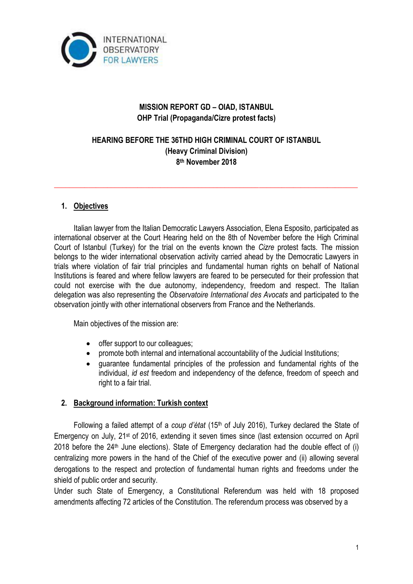

# **MISSION REPORT GD – OIAD, ISTANBUL OHP Trial (Propaganda/Cizre protest facts)**

# **HEARING BEFORE THE 36THD HIGH CRIMINAL COURT OF ISTANBUL (Heavy Criminal Division) 8 th November 2018**

**\_\_\_\_\_\_\_\_\_\_\_\_\_\_\_\_\_\_\_\_\_\_\_\_\_\_\_\_\_\_\_\_\_\_\_\_\_\_\_\_\_\_\_\_\_\_\_\_\_\_\_\_\_\_\_\_\_\_\_\_\_\_\_\_\_\_\_\_\_\_\_\_\_\_\_\_\_\_\_\_**

### **1. Objectives**

Italian lawyer from the Italian Democratic Lawyers Association, Elena Esposito, participated as international observer at the Court Hearing held on the 8th of November before the High Criminal Court of Istanbul (Turkey) for the trial on the events known the *Cizre* protest facts. The mission belongs to the wider international observation activity carried ahead by the Democratic Lawyers in trials where violation of fair trial principles and fundamental human rights on behalf of National Institutions is feared and where fellow lawyers are feared to be persecuted for their profession that could not exercise with the due autonomy, independency, freedom and respect. The Italian delegation was also representing the *Observatoire International des Avocats* and participated to the observation jointly with other international observers from France and the Netherlands.

Main objectives of the mission are:

- offer support to our colleagues;
- promote both internal and international accountability of the Judicial Institutions;
- guarantee fundamental principles of the profession and fundamental rights of the individual, *id est* freedom and independency of the defence, freedom of speech and right to a fair trial.

### **2. Background information: Turkish context**

Following a failed attempt of a *coup d'état* (15<sup>th</sup> of July 2016), Turkey declared the State of Emergency on July, 21st of 2016, extending it seven times since (last extension occurred on April  $2018$  before the  $24<sup>th</sup>$  June elections). State of Emergency declaration had the double effect of (i) centralizing more powers in the hand of the Chief of the executive power and (ii) allowing several derogations to the respect and protection of fundamental human rights and freedoms under the shield of public order and security.

Under such State of Emergency, a Constitutional Referendum was held with 18 proposed amendments affecting 72 articles of the Constitution. The referendum process was observed by a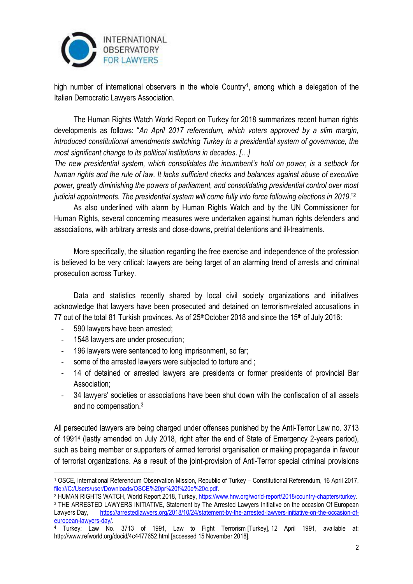

high number of international observers in the whole Country<sup>1</sup>, among which a delegation of the Italian Democratic Lawyers Association.

The Human Rights Watch World Report on Turkey for 2018 summarizes recent human rights developments as follows: "*An April 2017 referendum, which voters approved by a slim margin, introduced constitutional amendments switching Turkey to a presidential system of governance, the most significant change to its political institutions in decades. […]*

*The new presidential system, which consolidates the incumbent's hold on power, is a setback for human rights and the rule of law. It lacks sufficient checks and balances against abuse of executive power, greatly diminishing the powers of parliament, and consolidating presidential control over most judicial appointments. The presidential system will come fully into force following elections in 2019*."<sup>2</sup>

As also underlined with alarm by Human Rights Watch and by the UN Commissioner for Human Rights, several concerning measures were undertaken against human rights defenders and associations, with arbitrary arrests and close-downs, pretrial detentions and ill-treatments.

More specifically, the situation regarding the free exercise and independence of the profession is believed to be very critical: lawyers are being target of an alarming trend of arrests and criminal prosecution across Turkey.

Data and statistics recently shared by local civil society organizations and initiatives acknowledge that lawyers have been prosecuted and detained on terrorism-related accusations in 77 out of the total 81 Turkish provinces. As of 25<sup>th</sup>October 2018 and since the 15<sup>th</sup> of July 2016:

- 590 lawyers have been arrested;
- 1548 lawyers are under prosecution;
- 196 lawyers were sentenced to long imprisonment, so far;
- some of the arrested lawyers were subjected to [torture](https://arrestedlawyers.org/2017/08/05/876/) and [;](https://arrestedlawyers.org/category/torture/)
- 14 of detained or arrested lawyers are presidents or former presidents of provincial Bar Association;
- 34 lawyers' societies or associations have been shut down with the confiscation of all assets and no compensation.<sup>3</sup>

All persecuted lawyers are being charged under offenses punished by the Anti-Terror Law no. 3713 of 1991<sup>4</sup> (lastly amended on July 2018, right after the end of State of Emergency 2-years period), such as being member or supporters of armed terrorist organisation or making propaganda in favour of terrorist organizations. As a result of the joint-provision of Anti-Terror special criminal provisions

<sup>1</sup> <sup>1</sup> OSCE, International Referendum Observation Mission, Republic of Turkey – Constitutional Referendum, 16 April 2017, [file:///C:/Users/user/Downloads/OSCE%20pr%20f%20e%20c.pdf.](../../../../user/Downloads/OSCE%20pr%20f%20e%20c.pdf) 

<sup>&</sup>lt;sup>2</sup> HUMAN RIGHTS WATCH, World Report 2018, Turkey[, https://www.hrw.org/world-report/2018/country-chapters/turkey.](https://www.hrw.org/world-report/2018/country-chapters/turkey) <sup>3</sup> THE ARRESTED LAWYERS INITIATIVE, Statement by The Arrested Lawyers Initiative on the occasion Of European Lawyers Day, [https://arrestedlawyers.org/2018/10/24/statement-by-the-arrested-lawyers-initiative-on-the-occasion-of](https://arrestedlawyers.org/2018/10/24/statement-by-the-arrested-lawyers-initiative-on-the-occasion-of-european-lawyers-day/)[european-lawyers-day/.](https://arrestedlawyers.org/2018/10/24/statement-by-the-arrested-lawyers-initiative-on-the-occasion-of-european-lawyers-day/)

Turkey: Law No. 3713 of 1991, Law to Fight Terrorism [Turkey], 12 April 1991, available at: http://www.refworld.org/docid/4c4477652.html [accessed 15 November 2018].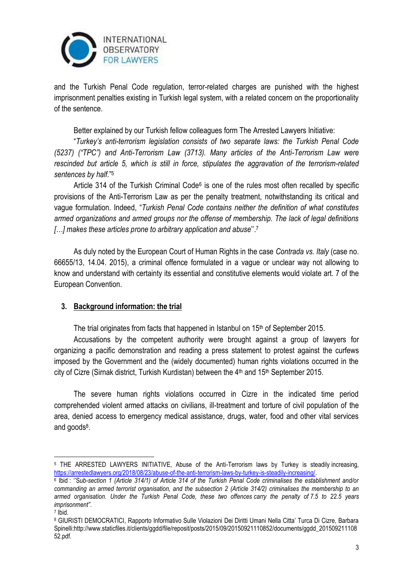

and the Turkish Penal Code regulation, terror-related charges are punished with the highest imprisonment penalties existing in Turkish legal system, with a related concern on the proportionality of the sentence.

Better explained by our Turkish fellow colleagues form The Arrested Lawyers Initiative:

"*Turkey's anti-terrorism legislation consists of two separate laws: the Turkish Penal Code (5237) ("TPC") and Anti-Terrorism Law (3713). Many articles of the Anti-Terrorism Law were rescinded but article 5, which is still in force, stipulates the aggravation of the terrorism-related sentences by half.*" 5

Article 314 of the Turkish Criminal Code<sup>6</sup> is one of the rules most often recalled by specific provisions of the Anti-Terrorism Law as per the penalty treatment, notwithstanding its critical and vague formulation. Indeed, "*Turkish Penal Code contains neither the definition of what constitutes armed organizations and armed groups nor the offense of membership. The lack of legal definitions […] makes these articles prone to arbitrary application and abuse*''.<sup>7</sup>

As duly noted by the European Court of Human Rights in the case *Contrada vs. Italy* (case no. 66655/13, 14.04. 2015), a criminal offence formulated in a vague or unclear way not allowing to know and understand with certainty its essential and constitutive elements would violate art. 7 of the European Convention.

### **3. Background information: the trial**

The trial originates from facts that happened in Istanbul on 15<sup>th</sup> of September 2015.

Accusations by the competent authority were brought against a group of lawyers for organizing a pacific demonstration and reading a press statement to protest against the curfews imposed by the Government and the (widely documented) human rights violations occurred in the city of Cizre (Sirnak district, Turkish Kurdistan) between the 4<sup>th</sup> and 15<sup>th</sup> September 2015.

The severe human rights violations occurred in Cizre in the indicated time period comprehended violent armed attacks on civilians, ill-treatment and torture of civil population of the area, denied access to emergency medical assistance, drugs, water, food and other vital services and goods<sup>8</sup>.

1

<sup>5</sup> THE ARRESTED LAWYERS INITIATIVE, Abuse of the Anti-Terrorism laws by Turkey is steadily increasing, [https://arrestedlawyers.org/2018/08/23/abuse-of-the-anti-terrorism-laws-by-turkey-is-steadily-increasing/.](https://arrestedlawyers.org/2018/08/23/abuse-of-the-anti-terrorism-laws-by-turkey-is-steadily-increasing/)

<sup>6</sup> Ibid : ''S*ub-section 1 (Article 314/1) of Article 314 of the Turkish Penal Code criminalises the establishment and/or commanding an armed terrorist organisation, and the subsection 2 (Article 314/2) criminalises the membership to an armed organisation. Under the Turkish Penal Code, these two offences carry the penalty of 7.5 to 22.5 years imprisonment"*.

<sup>7</sup> Ibid.

<sup>8</sup> GIURISTI DEMOCRATICI, Rapporto Informativo Sulle Violazioni Dei Diritti Umani Nella Citta' Turca Di Cizre, Barbara Spinelli:http://www.staticfiles.it/clients/ggdd/file/reposit/posts/2015/09/20150921110852/documents/ggdd\_201509211108 52.pdf.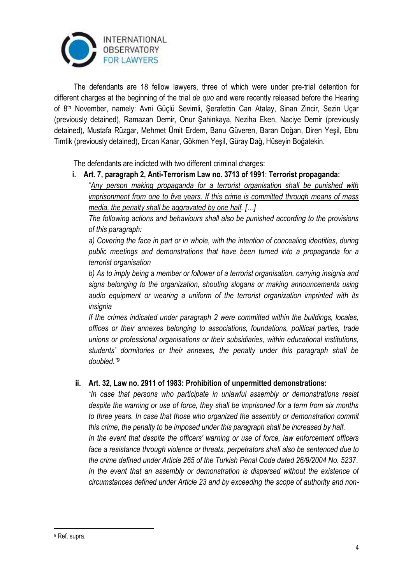

The defendants are 18 fellow lawyers, three of which were under pre-trial detention for different charges at the beginning of the trial *de quo* and were recently released before the Hearing of 8th November, namely: Avni Güçlü Sevimli, Şerafettin Can Atalay, Sinan Zincir, Sezin Uçar (previously detained), Ramazan Demir, Onur Şahinkaya, Neziha Eken, Naciye Demir (previously detained), Mustafa Rüzgar, Mehmet Űmit Erdem, Banu Güveren, Baran Doğan, Diren Yeşil, Ebru Timtik (previously detained), Ercan Kanar, Gökmen Yeşil, Güray Dağ, Hüseyin Boğatekin.

The defendants are indicted with two different criminal charges:

### **i. Art. 7, paragraph 2, Anti-Terrorism Law no. 3713 of 1991**: **Terrorist propaganda:**

"*Any person making propaganda for a terrorist organisation shall be punished with imprisonment from one to five years. If this crime is committed through means of mass media, the penalty shall be aggravated by one half. […]* 

*The following actions and behaviours shall also be punished according to the provisions of this paragraph:* 

*a) Covering the face in part or in whole, with the intention of concealing identities, during public meetings and demonstrations that have been turned into a propaganda for a terrorist organisation* 

*b) As to imply being a member or follower of a terrorist organisation, carrying insignia and signs belonging to the organization, shouting slogans or making announcements using audio equipment or wearing a uniform of the terrorist organization imprinted with its insignia* 

*If the crimes indicated under paragraph 2 were committed within the buildings, locales, offices or their annexes belonging to associations, foundations, political parties, trade unions or professional organisations or their subsidiaries, within educational institutions, students' dormitories or their annexes, the penalty under this paragraph shall be doubled."<sup>9</sup>*

## **ii. Art. 32, Law no. 2911 of 1983: Prohibition of unpermitted demonstrations:**

"*In case that persons who participate in unlawful assembly or demonstrations resist despite the warning or use of force, they shall be imprisoned for a term from six months to three years. In case that those who organized the assembly or demonstration commit this crime, the penalty to be imposed under this paragraph shall be increased by half. In the event that despite the officers' warning or use of force, law enforcement officers face a resistance through violence or threats, perpetrators shall also be sentenced due to the crime defined under Article 265 of the Turkish Penal Code dated 26/9/2004 No. 5237. In the event that an assembly or demonstration is dispersed without the existence of circumstances defined under Article 23 and by exceeding the scope of authority and non-*

<u>.</u>

<sup>9</sup> Ref. supra.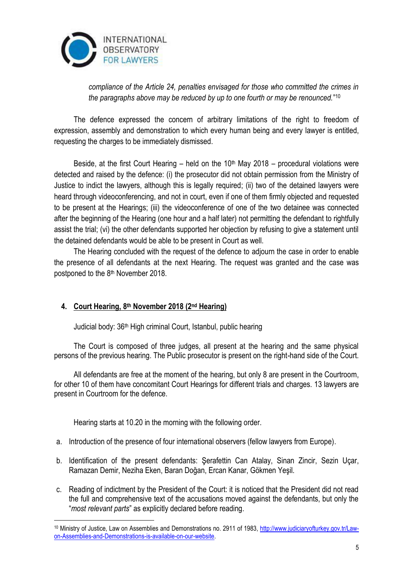

*compliance of the Article 24, penalties envisaged for those who committed the crimes in the paragraphs above may be reduced by up to one fourth or may be renounced.*" 10

The defence expressed the concern of arbitrary limitations of the right to freedom of expression, assembly and demonstration to which every human being and every lawyer is entitled, requesting the charges to be immediately dismissed.

Beside, at the first Court Hearing – held on the  $10<sup>th</sup>$  May 2018 – procedural violations were detected and raised by the defence: (i) the prosecutor did not obtain permission from the Ministry of Justice to indict the lawyers, although this is legally required; (ii) two of the detained lawyers were heard through videoconferencing, and not in court, even if one of them firmly objected and requested to be present at the Hearings; (iii) the videoconference of one of the two detainee was connected after the beginning of the Hearing (one hour and a half later) not permitting the defendant to rightfully assist the trial; (vi) the other defendants supported her objection by refusing to give a statement until the detained defendants would be able to be present in Court as well.

The Hearing concluded with the request of the defence to adjourn the case in order to enable the presence of all defendants at the next Hearing. The request was granted and the case was postponed to the 8th November 2018.

## **4. Court Hearing, 8th November 2018 (2nd Hearing)**

1

Judicial body: 36th High criminal Court, Istanbul, public hearing

The Court is composed of three judges, all present at the hearing and the same physical persons of the previous hearing. The Public prosecutor is present on the right-hand side of the Court.

All defendants are free at the moment of the hearing, but only 8 are present in the Courtroom, for other 10 of them have concomitant Court Hearings for different trials and charges. 13 lawyers are present in Courtroom for the defence.

Hearing starts at 10.20 in the morning with the following order.

- a. Introduction of the presence of four international observers (fellow lawyers from Europe).
- b. Identification of the present defendants: Şerafettin Can Atalay, Sinan Zincir, Sezin Uçar, Ramazan Demir, Neziha Eken, Baran Doğan, Ercan Kanar, Gökmen Yeşil.
- c. Reading of indictment by the President of the Court: it is noticed that the President did not read the full and comprehensive text of the accusations moved against the defendants, but only the "*most relevant parts*" as explicitly declared before reading.

<sup>10</sup> Ministry of Justice, Law on Assemblies and Demonstrations no. 2911 of 1983[, http://www.judiciaryofturkey.gov.tr/Law](http://www.judiciaryofturkey.gov.tr/Law-on-Assemblies-and-Demonstrations-is-available-on-our-website)[on-Assemblies-and-Demonstrations-is-available-on-our-website.](http://www.judiciaryofturkey.gov.tr/Law-on-Assemblies-and-Demonstrations-is-available-on-our-website)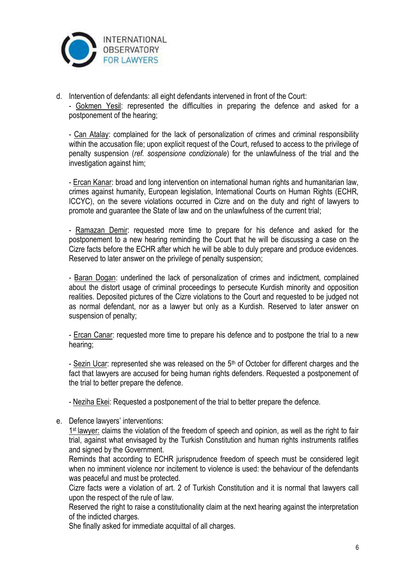

d. Intervention of defendants: all eight defendants intervened in front of the Court:

- Gokmen Yesil: represented the difficulties in preparing the defence and asked for a postponement of the hearing;

- Can Atalay: complained for the lack of personalization of crimes and criminal responsibility within the accusation file; upon explicit request of the Court, refused to access to the privilege of penalty suspension (*ref. sospensione condizionale*) for the unlawfulness of the trial and the investigation against him;

- Ercan Kanar: broad and long intervention on international human rights and humanitarian law, crimes against humanity, European legislation, International Courts on Human Rights (ECHR, ICCYC), on the severe violations occurred in Cizre and on the duty and right of lawyers to promote and guarantee the State of law and on the unlawfulness of the current trial;

- Ramazan Demir: requested more time to prepare for his defence and asked for the postponement to a new hearing reminding the Court that he will be discussing a case on the Cizre facts before the ECHR after which he will be able to duly prepare and produce evidences. Reserved to later answer on the privilege of penalty suspension;

- Baran Dogan: underlined the lack of personalization of crimes and indictment, complained about the distort usage of criminal proceedings to persecute Kurdish minority and opposition realities. Deposited pictures of the Cizre violations to the Court and requested to be judged not as normal defendant, nor as a lawyer but only as a Kurdish. Reserved to later answer on suspension of penalty;

- Ercan Canar: requested more time to prepare his defence and to postpone the trial to a new hearing;

- Sezin Ucar: represented she was released on the 5<sup>th</sup> of October for different charges and the fact that lawyers are accused for being human rights defenders. Requested a postponement of the trial to better prepare the defence.

- Neziha Ekei: Requested a postponement of the trial to better prepare the defence.

e. Defence lawyers' interventions:

1<sup>st</sup> lawyer: claims the violation of the freedom of speech and opinion, as well as the right to fair trial, against what envisaged by the Turkish Constitution and human rights instruments ratifies and signed by the Government.

Reminds that according to ECHR jurisprudence freedom of speech must be considered legit when no imminent violence nor incitement to violence is used: the behaviour of the defendants was peaceful and must be protected.

Cizre facts were a violation of art. 2 of Turkish Constitution and it is normal that lawyers call upon the respect of the rule of law.

Reserved the right to raise a constitutionality claim at the next hearing against the interpretation of the indicted charges.

She finally asked for immediate acquittal of all charges.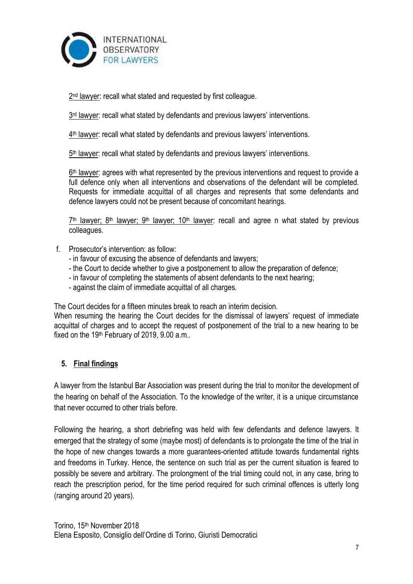

2<sup>nd</sup> lawyer: recall what stated and requested by first colleague.

3<sup>rd</sup> lawyer: recall what stated by defendants and previous lawyers' interventions.

4<sup>th</sup> lawyer: recall what stated by defendants and previous lawyers' interventions.

5<sup>th</sup> lawyer: recall what stated by defendants and previous lawyers' interventions.

 $6<sup>th</sup>$  lawyer: agrees with what represented by the previous interventions and request to provide a full defence only when all interventions and observations of the defendant will be completed. Requests for immediate acquittal of all charges and represents that some defendants and defence lawyers could not be present because of concomitant hearings.

 $7<sup>th</sup>$  lawyer;  $8<sup>th</sup>$  lawyer;  $9<sup>th</sup>$  lawyer; 10<sup>th</sup> lawyer: recall and agree n what stated by previous colleagues.

- f. Prosecutor's intervention: as follow:
	- in favour of excusing the absence of defendants and lawyers;
	- the Court to decide whether to give a postponement to allow the preparation of defence;
	- in favour of completing the statements of absent defendants to the next hearing;
	- against the claim of immediate acquittal of all charges.

The Court decides for a fifteen minutes break to reach an interim decision.

When resuming the hearing the Court decides for the dismissal of lawyers' request of immediate acquittal of charges and to accept the request of postponement of the trial to a new hearing to be fixed on the 19th February of 2019, 9.00 a.m..

### **5. Final findings**

A lawyer from the Istanbul Bar Association was present during the trial to monitor the development of the hearing on behalf of the Association. To the knowledge of the writer, it is a unique circumstance that never occurred to other trials before.

Following the hearing, a short debriefing was held with few defendants and defence lawyers. It emerged that the strategy of some (maybe most) of defendants is to prolongate the time of the trial in the hope of new changes towards a more guarantees-oriented attitude towards fundamental rights and freedoms in Turkey. Hence, the sentence on such trial as per the current situation is feared to possibly be severe and arbitrary. The prolongment of the trial timing could not, in any case, bring to reach the prescription period, for the time period required for such criminal offences is utterly long (ranging around 20 years).